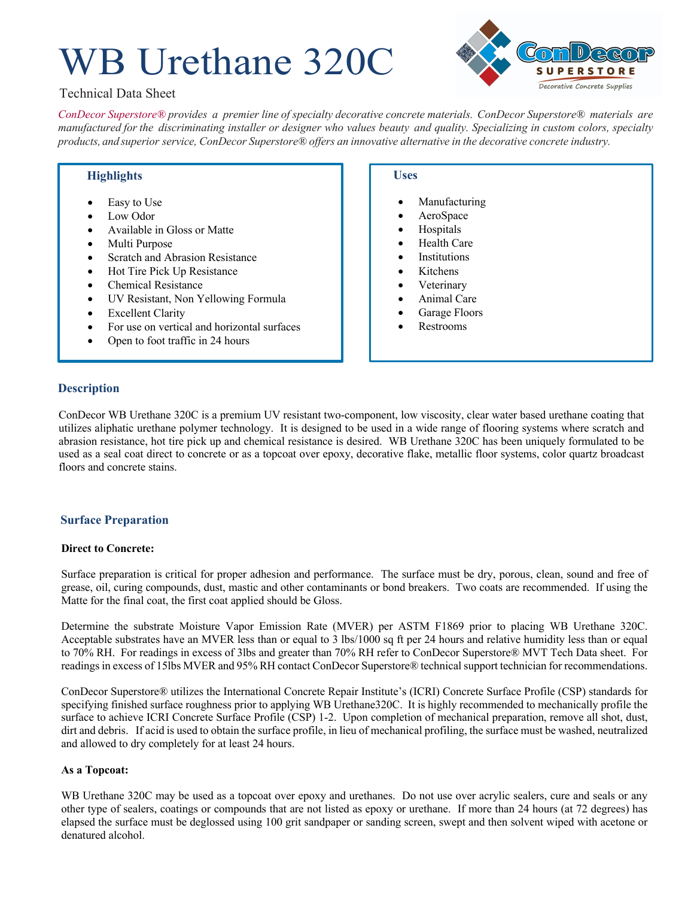# WB Urethane 320C



## Technical Data Sheet

*ConDecor Superstore® provides a premier line of specialty decorative concrete materials. ConDecor Superstore® materials are*  manufactured for the discriminating installer or designer who values beauty and quality. Specializing in custom colors, specialty *products, and superior service, ConDecor Superstore® offers an innovative alternative in the decorative concrete industry.*

## **Highlights**

- Easy to Use
- Low Odor
- Available in Gloss or Matte
- Multi Purpose
- Scratch and Abrasion Resistance
- Hot Tire Pick Up Resistance
- Chemical Resistance
- UV Resistant, Non Yellowing Formula
- **Excellent Clarity**
- For use on vertical and horizontal surfaces
- Open to foot traffic in 24 hours

## **Uses**

- **Manufacturing**
- AeroSpace
- **Hospitals**
- Health Care
- **Institutions**
- **Kitchens**
- **Veterinary**
- Animal Care
- Garage Floors
- Restrooms

## **Description**

ConDecor WB Urethane 320C is a premium UV resistant two-component, low viscosity, clear water based urethane coating that utilizes aliphatic urethane polymer technology. It is designed to be used in a wide range of flooring systems where scratch and abrasion resistance, hot tire pick up and chemical resistance is desired. WB Urethane 320C has been uniquely formulated to be used as a seal coat direct to concrete or as a topcoat over epoxy, decorative flake, metallic floor systems, color quartz broadcast floors and concrete stains.

## **Surface Preparation**

#### **Direct to Concrete:**

Surface preparation is critical for proper adhesion and performance. The surface must be dry, porous, clean, sound and free of grease, oil, curing compounds, dust, mastic and other contaminants or bond breakers. Two coats are recommended. If using the Matte for the final coat, the first coat applied should be Gloss.

Determine the substrate Moisture Vapor Emission Rate (MVER) per ASTM F1869 prior to placing WB Urethane 320C. Acceptable substrates have an MVER less than or equal to 3 lbs/1000 sq ft per 24 hours and relative humidity less than or equal to 70% RH. For readings in excess of 3lbs and greater than 70% RH refer to ConDecor Superstore® MVT Tech Data sheet. For readings in excess of 15lbs MVER and 95% RH contact ConDecor Superstore® technical support technician for recommendations.

ConDecor Superstore® utilizes the International Concrete Repair Institute's (ICRI) Concrete Surface Profile (CSP) standards for specifying finished surface roughness prior to applying WB Urethane320C. It is highly recommended to mechanically profile the surface to achieve ICRI Concrete Surface Profile (CSP) 1-2. Upon completion of mechanical preparation, remove all shot, dust, dirt and debris. If acid is used to obtain the surface profile, in lieu of mechanical profiling, the surface must be washed, neutralized and allowed to dry completely for at least 24 hours.

## **As a Topcoat:**

WB Urethane 320C may be used as a topcoat over epoxy and urethanes. Do not use over acrylic sealers, cure and seals or any other type of sealers, coatings or compounds that are not listed as epoxy or urethane. If more than 24 hours (at 72 degrees) has elapsed the surface must be deglossed using 100 grit sandpaper or sanding screen, swept and then solvent wiped with acetone or denatured alcohol.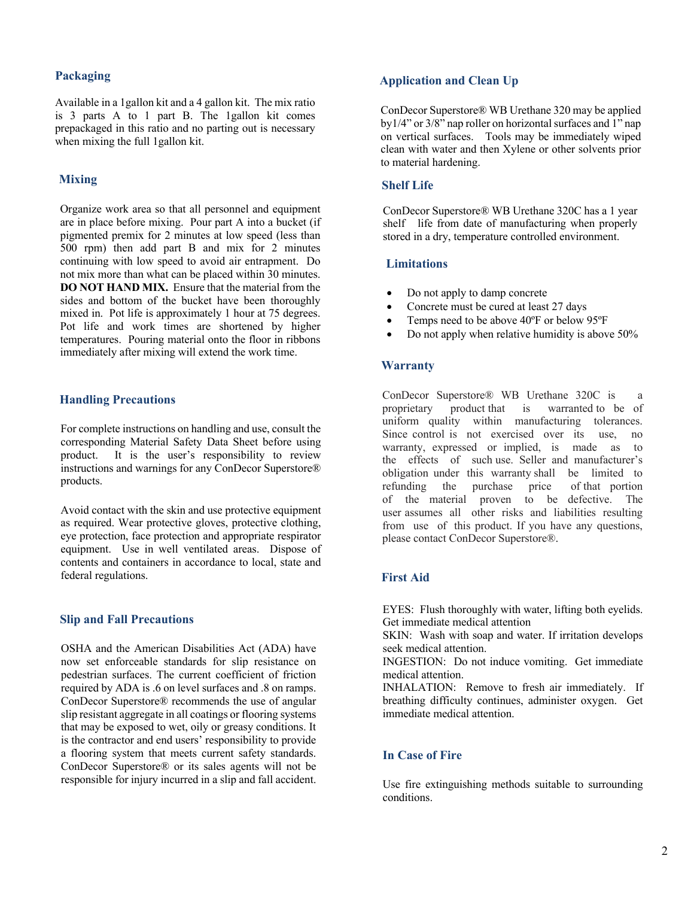## **Packaging**

Available in a 1gallon kit and a 4 gallon kit. The mix ratio is 3 parts A to 1 part B. The 1gallon kit comes prepackaged in this ratio and no parting out is necessary when mixing the full 1gallon kit.

## **Mixing**

Organize work area so that all personnel and equipment are in place before mixing. Pour part A into a bucket (if pigmented premix for 2 minutes at low speed (less than 500 rpm) then add part B and mix for 2 minutes continuing with low speed to avoid air entrapment. Do not mix more than what can be placed within 30 minutes. **DO NOT HAND MIX.** Ensure that the material from the sides and bottom of the bucket have been thoroughly mixed in. Pot life is approximately 1 hour at 75 degrees. Pot life and work times are shortened by higher temperatures. Pouring material onto the floor in ribbons immediately after mixing will extend the work time.

## **Handling Precautions**

For complete instructions on handling and use, consult the corresponding Material Safety Data Sheet before using product. It is the user's responsibility to review instructions and warnings for any ConDecor Superstore® products.

Avoid contact with the skin and use protective equipment as required. Wear protective gloves, protective clothing, eye protection, face protection and appropriate respirator equipment. Use in well ventilated areas. Dispose of contents and containers in accordance to local, state and federal regulations.

#### **Slip and Fall Precautions**

OSHA and the American Disabilities Act (ADA) have now set enforceable standards for slip resistance on pedestrian surfaces. The current coefficient of friction required by ADA is .6 on level surfaces and .8 on ramps. ConDecor Superstore® recommends the use of angular slip resistant aggregate in all coatings or flooring systems that may be exposed to wet, oily or greasy conditions. It is the contractor and end users' responsibility to provide a flooring system that meets current safety standards. ConDecor Superstore® or its sales agents will not be responsible for injury incurred in a slip and fall accident.

## **Application and Clean Up**

ConDecor Superstore® WB Urethane 320 may be applied by1/4" or 3/8" nap roller on horizontal surfaces and 1" nap on vertical surfaces. Tools may be immediately wiped clean with water and then Xylene or other solvents prior to material hardening.

#### **Shelf Life**

ConDecor Superstore® WB Urethane 320C has a 1 year shelf life from date of manufacturing when properly stored in a dry, temperature controlled environment.

#### **Limitations**

- Do not apply to damp concrete
- Concrete must be cured at least 27 days
- Temps need to be above 40ºF or below 95ºF
- Do not apply when relative humidity is above 50%

#### **Warranty**

ConDecor Superstore® WB Urethane 320C is a proprietary product that is warranted to be of uniform quality within manufacturing tolerances. Since control is not exercised over its use, no warranty, expressed or implied, is made as to the effects of such use. Seller and manufacturer's obligation under this warranty shall be limited to refunding the purchase price of that portion of the material proven to be defective. The user assumes all other risks and liabilities resulting from use of this product. If you have any questions, please contact ConDecor Superstore®.

#### **First Aid**

EYES: Flush thoroughly with water, lifting both eyelids. Get immediate medical attention

SKIN: Wash with soap and water. If irritation develops seek medical attention.

INGESTION: Do not induce vomiting. Get immediate medical attention.

INHALATION: Remove to fresh air immediately. If breathing difficulty continues, administer oxygen. Get immediate medical attention.

#### **In Case of Fire**

Use fire extinguishing methods suitable to surrounding conditions.